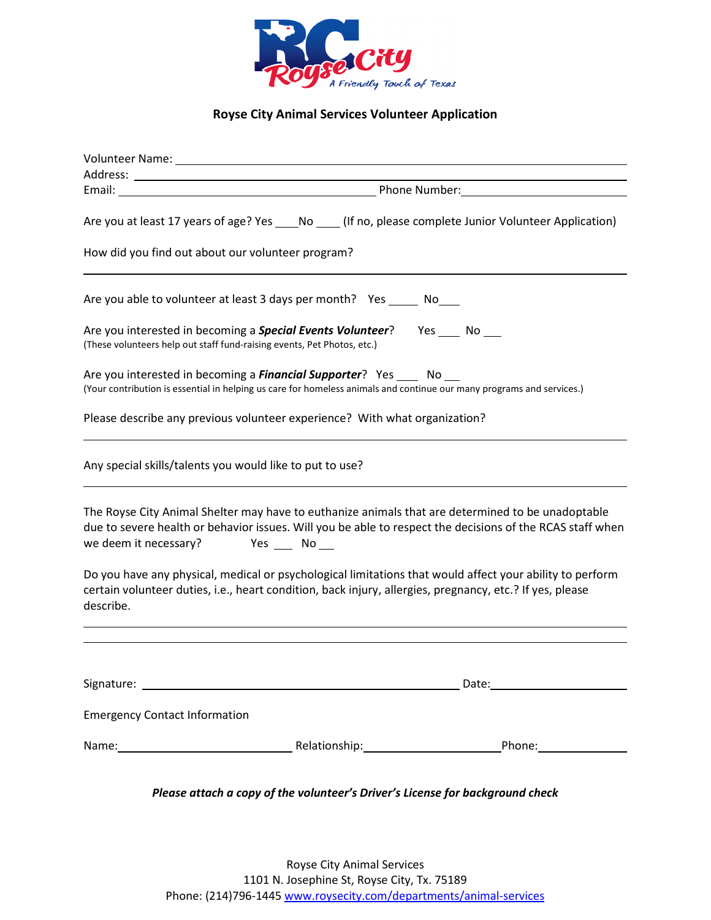

**Royse City Animal Services Volunteer Application** 

|                                                                         |                                                                                                                                                                                                         | Are you at least 17 years of age? Yes No (If no, please complete Junior Volunteer Application)                                                                                                                 |
|-------------------------------------------------------------------------|---------------------------------------------------------------------------------------------------------------------------------------------------------------------------------------------------------|----------------------------------------------------------------------------------------------------------------------------------------------------------------------------------------------------------------|
| How did you find out about our volunteer program?                       |                                                                                                                                                                                                         |                                                                                                                                                                                                                |
|                                                                         | Are you able to volunteer at least 3 days per month? Yes _______ No                                                                                                                                     |                                                                                                                                                                                                                |
| (These volunteers help out staff fund-raising events, Pet Photos, etc.) | Are you interested in becoming a <b>Special Events Volunteer</b> ? Yes ____ No ___                                                                                                                      |                                                                                                                                                                                                                |
|                                                                         | Are you interested in becoming a <b>Financial Supporter</b> ? Yes _____ No ___<br>(Your contribution is essential in helping us care for homeless animals and continue our many programs and services.) |                                                                                                                                                                                                                |
|                                                                         | Please describe any previous volunteer experience? With what organization?                                                                                                                              |                                                                                                                                                                                                                |
| Any special skills/talents you would like to put to use?                |                                                                                                                                                                                                         |                                                                                                                                                                                                                |
| we deem it necessary? Yes ___ No __                                     |                                                                                                                                                                                                         | The Royse City Animal Shelter may have to euthanize animals that are determined to be unadoptable<br>due to severe health or behavior issues. Will you be able to respect the decisions of the RCAS staff when |
| describe.                                                               | certain volunteer duties, i.e., heart condition, back injury, allergies, pregnancy, etc.? If yes, please                                                                                                | Do you have any physical, medical or psychological limitations that would affect your ability to perform                                                                                                       |
|                                                                         |                                                                                                                                                                                                         |                                                                                                                                                                                                                |
|                                                                         |                                                                                                                                                                                                         |                                                                                                                                                                                                                |
| <b>Emergency Contact Information</b>                                    |                                                                                                                                                                                                         |                                                                                                                                                                                                                |
|                                                                         |                                                                                                                                                                                                         |                                                                                                                                                                                                                |
|                                                                         |                                                                                                                                                                                                         |                                                                                                                                                                                                                |

*Please attach a copy of the volunteer's Driver's License for background check*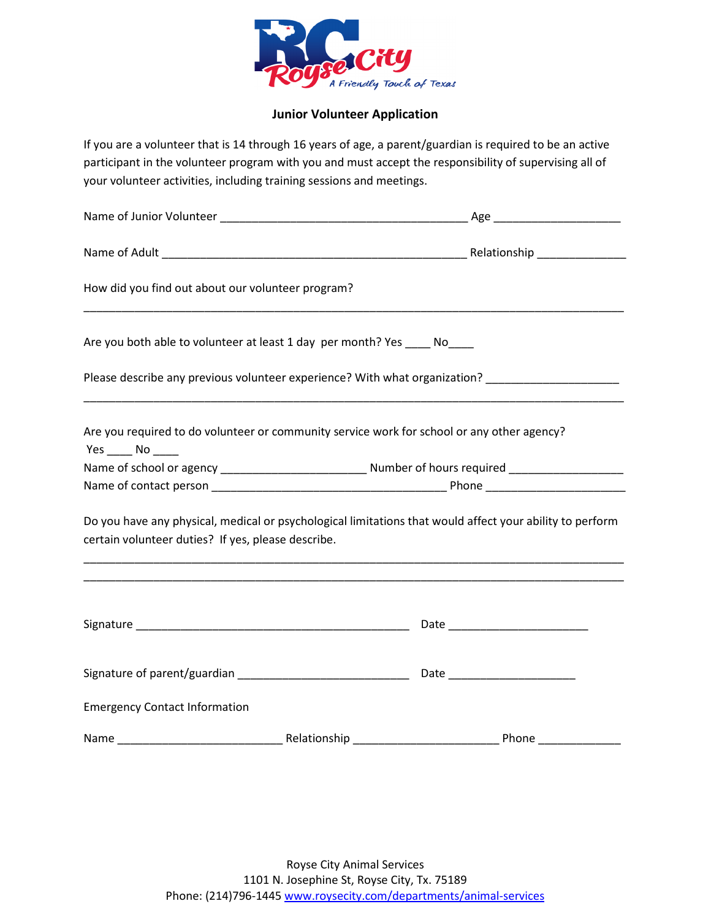

#### **Junior Volunteer Application**

If you are a volunteer that is 14 through 16 years of age, a parent/guardian is required to be an active participant in the volunteer program with you and must accept the responsibility of supervising all of your volunteer activities, including training sessions and meetings.

| How did you find out about our volunteer program?                                                              |  |                                                                                                          |  |
|----------------------------------------------------------------------------------------------------------------|--|----------------------------------------------------------------------------------------------------------|--|
| Are you both able to volunteer at least 1 day per month? Yes _____ No                                          |  |                                                                                                          |  |
|                                                                                                                |  | Please describe any previous volunteer experience? With what organization? ________________________      |  |
| Are you required to do volunteer or community service work for school or any other agency?<br>$Yes$ No _______ |  |                                                                                                          |  |
|                                                                                                                |  |                                                                                                          |  |
|                                                                                                                |  |                                                                                                          |  |
| certain volunteer duties? If yes, please describe.                                                             |  | Do you have any physical, medical or psychological limitations that would affect your ability to perform |  |
|                                                                                                                |  |                                                                                                          |  |
|                                                                                                                |  |                                                                                                          |  |
| <b>Emergency Contact Information</b>                                                                           |  |                                                                                                          |  |
|                                                                                                                |  |                                                                                                          |  |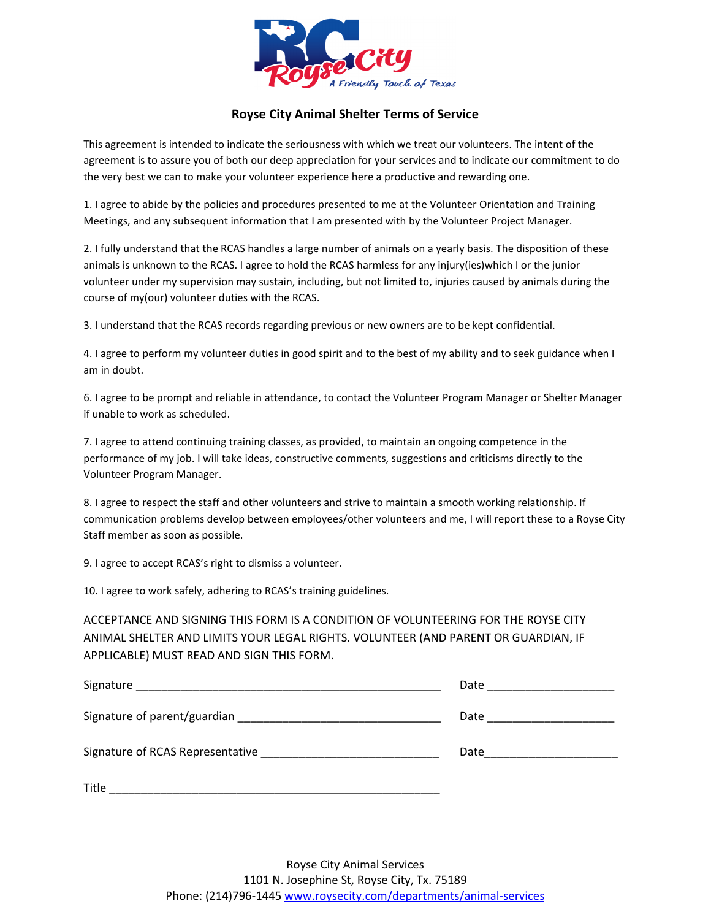

### **Royse City Animal Shelter Terms of Service**

This agreement is intended to indicate the seriousness with which we treat our volunteers. The intent of the agreement is to assure you of both our deep appreciation for your services and to indicate our commitment to do the very best we can to make your volunteer experience here a productive and rewarding one.

1. I agree to abide by the policies and procedures presented to me at the Volunteer Orientation and Training Meetings, and any subsequent information that I am presented with by the Volunteer Project Manager.

2. I fully understand that the RCAS handles a large number of animals on a yearly basis. The disposition of these animals is unknown to the RCAS. I agree to hold the RCAS harmless for any injury(ies)which I or the junior volunteer under my supervision may sustain, including, but not limited to, injuries caused by animals during the course of my(our) volunteer duties with the RCAS.

3. I understand that the RCAS records regarding previous or new owners are to be kept confidential.

4. I agree to perform my volunteer duties in good spirit and to the best of my ability and to seek guidance when I am in doubt.

6. I agree to be prompt and reliable in attendance, to contact the Volunteer Program Manager or Shelter Manager if unable to work as scheduled.

7. I agree to attend continuing training classes, as provided, to maintain an ongoing competence in the performance of my job. I will take ideas, constructive comments, suggestions and criticisms directly to the Volunteer Program Manager.

8. I agree to respect the staff and other volunteers and strive to maintain a smooth working relationship. If communication problems develop between employees/other volunteers and me, I will report these to a Royse City Staff member as soon as possible.

9. I agree to accept RCAS's right to dismiss a volunteer.

10. I agree to work safely, adhering to RCAS's training guidelines.

ACCEPTANCE AND SIGNING THIS FORM IS A CONDITION OF VOLUNTEERING FOR THE ROYSE CITY ANIMAL SHELTER AND LIMITS YOUR LEGAL RIGHTS. VOLUNTEER (AND PARENT OR GUARDIAN, IF APPLICABLE) MUST READ AND SIGN THIS FORM.

| Signature                        | Date |
|----------------------------------|------|
| Signature of parent/guardian     | Date |
| Signature of RCAS Representative | Date |
| Title                            |      |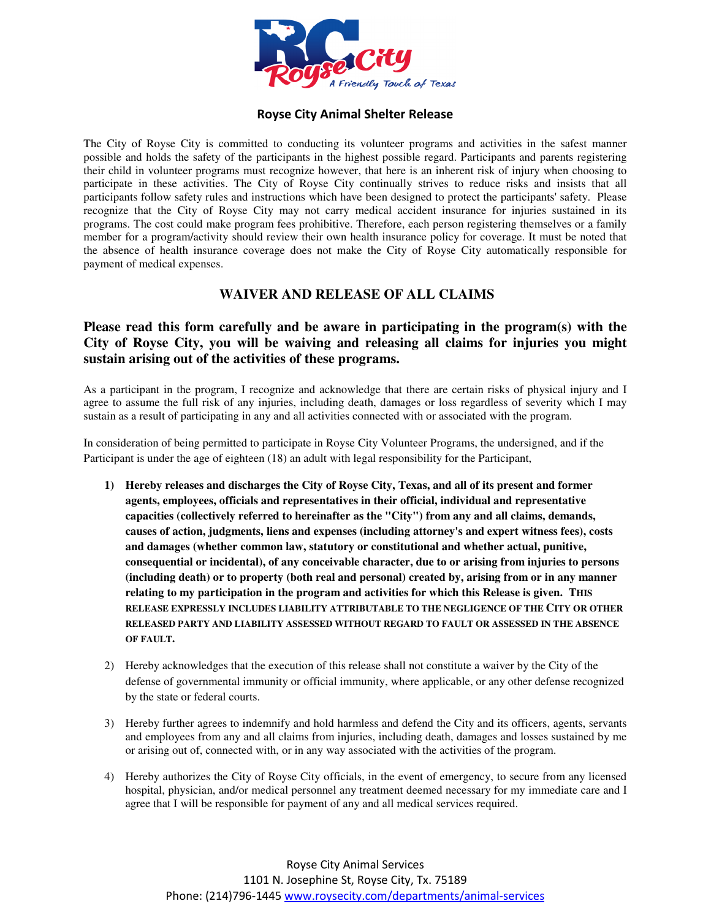

#### **Royse City Animal Shelter Release**

The City of Royse City is committed to conducting its volunteer programs and activities in the safest manner possible and holds the safety of the participants in the highest possible regard. Participants and parents registering their child in volunteer programs must recognize however, that here is an inherent risk of injury when choosing to participate in these activities. The City of Royse City continually strives to reduce risks and insists that all participants follow safety rules and instructions which have been designed to protect the participants' safety. Please recognize that the City of Royse City may not carry medical accident insurance for injuries sustained in its programs. The cost could make program fees prohibitive. Therefore, each person registering themselves or a family member for a program/activity should review their own health insurance policy for coverage. It must be noted that the absence of health insurance coverage does not make the City of Royse City automatically responsible for payment of medical expenses.

## **WAIVER AND RELEASE OF ALL CLAIMS**

# **Please read this form carefully and be aware in participating in the program(s) with the City of Royse City, you will be waiving and releasing all claims for injuries you might sustain arising out of the activities of these programs.**

As a participant in the program, I recognize and acknowledge that there are certain risks of physical injury and I agree to assume the full risk of any injuries, including death, damages or loss regardless of severity which I may sustain as a result of participating in any and all activities connected with or associated with the program.

In consideration of being permitted to participate in Royse City Volunteer Programs, the undersigned, and if the Participant is under the age of eighteen (18) an adult with legal responsibility for the Participant,

- **1) Hereby releases and discharges the City of Royse City, Texas, and all of its present and former agents, employees, officials and representatives in their official, individual and representative capacities (collectively referred to hereinafter as the "City") from any and all claims, demands, causes of action, judgments, liens and expenses (including attorney's and expert witness fees), costs and damages (whether common law, statutory or constitutional and whether actual, punitive, consequential or incidental), of any conceivable character, due to or arising from injuries to persons (including death) or to property (both real and personal) created by, arising from or in any manner relating to my participation in the program and activities for which this Release is given. THIS RELEASE EXPRESSLY INCLUDES LIABILITY ATTRIBUTABLE TO THE NEGLIGENCE OF THE CITY OR OTHER RELEASED PARTY AND LIABILITY ASSESSED WITHOUT REGARD TO FAULT OR ASSESSED IN THE ABSENCE OF FAULT.**
- 2) Hereby acknowledges that the execution of this release shall not constitute a waiver by the City of the defense of governmental immunity or official immunity, where applicable, or any other defense recognized by the state or federal courts.
- 3) Hereby further agrees to indemnify and hold harmless and defend the City and its officers, agents, servants and employees from any and all claims from injuries, including death, damages and losses sustained by me or arising out of, connected with, or in any way associated with the activities of the program.
- 4) Hereby authorizes the City of Royse City officials, in the event of emergency, to secure from any licensed hospital, physician, and/or medical personnel any treatment deemed necessary for my immediate care and I agree that I will be responsible for payment of any and all medical services required.